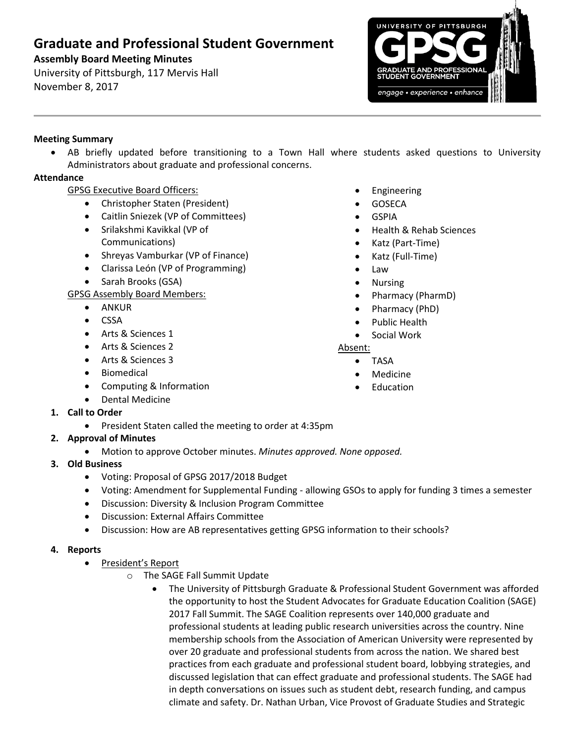# **Graduate and Professional Student Government**

# **Assembly Board Meeting Minutes**

University of Pittsburgh, 117 Mervis Hall November 8, 2017



## **Meeting Summary**

 AB briefly updated before transitioning to a Town Hall where students asked questions to University Administrators about graduate and professional concerns.

## **Attendance**

## GPSG Executive Board Officers:

- Christopher Staten (President)
- Caitlin Sniezek (VP of Committees)
- Srilakshmi Kavikkal (VP of Communications)
- Shreyas Vamburkar (VP of Finance)
- Clarissa León (VP of Programming)
- Sarah Brooks (GSA)

GPSG Assembly Board Members:

- ANKUR
- CSSA
- Arts & Sciences 1
- Arts & Sciences 2
- Arts & Sciences 3
- Biomedical
- Computing & Information
- Dental Medicine
- **1. Call to Order**
	- President Staten called the meeting to order at 4:35pm
- **2. Approval of Minutes** 
	- Motion to approve October minutes. *Minutes approved. None opposed.*
- **3. Old Business**
	- Voting: Proposal of GPSG 2017/2018 Budget
	- Voting: Amendment for Supplemental Funding allowing GSOs to apply for funding 3 times a semester
	- Discussion: Diversity & Inclusion Program Committee
	- Discussion: External Affairs Committee
	- Discussion: How are AB representatives getting GPSG information to their schools?

### **4. Reports**

- President's Report
	- o The SAGE Fall Summit Update
		- The University of Pittsburgh Graduate & Professional Student Government was afforded the opportunity to host the Student Advocates for Graduate Education Coalition (SAGE) 2017 Fall Summit. The SAGE Coalition represents over 140,000 graduate and professional students at leading public research universities across the country. Nine membership schools from the Association of American University were represented by over 20 graduate and professional students from across the nation. We shared best practices from each graduate and professional student board, lobbying strategies, and discussed legislation that can effect graduate and professional students. The SAGE had in depth conversations on issues such as student debt, research funding, and campus climate and safety. Dr. Nathan Urban, Vice Provost of Graduate Studies and Strategic
- Engineering
- **GOSECA**
- GSPIA
- Health & Rehab Sciences
- Katz (Part-Time)
- Katz (Full-Time)
- Law
- Nursing
- Pharmacy (PharmD)
- Pharmacy (PhD)
- Public Health
- Social Work

### Absent:

- TASA
- Medicine
- Education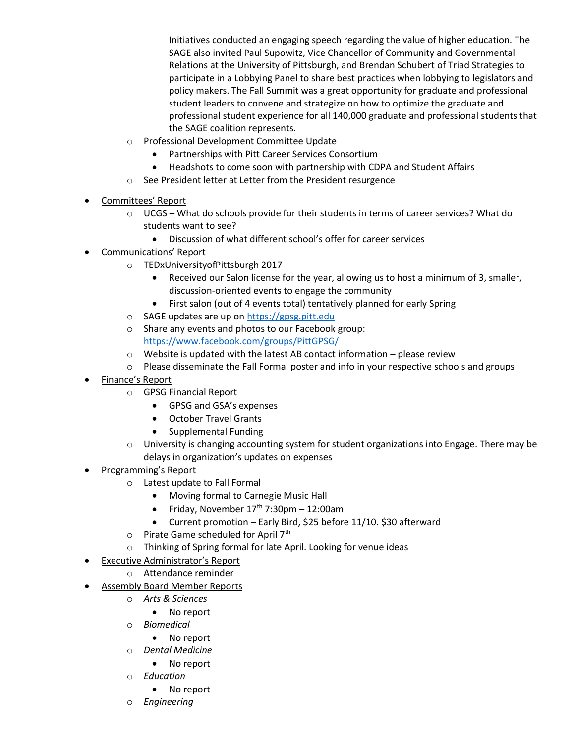Initiatives conducted an engaging speech regarding the value of higher education. The SAGE also invited Paul Supowitz, Vice Chancellor of Community and Governmental Relations at the University of Pittsburgh, and Brendan Schubert of Triad Strategies to participate in a Lobbying Panel to share best practices when lobbying to legislators and policy makers. The Fall Summit was a great opportunity for graduate and professional student leaders to convene and strategize on how to optimize the graduate and professional student experience for all 140,000 graduate and professional students that the SAGE coalition represents.

- o Professional Development Committee Update
	- Partnerships with Pitt Career Services Consortium
	- Headshots to come soon with partnership with CDPA and Student Affairs
- o See President letter at Letter from the President resurgence
- Committees' Report
	- o UCGS What do schools provide for their students in terms of career services? What do students want to see?
		- Discussion of what different school's offer for career services
- Communications' Report
	- o TEDxUniversityofPittsburgh 2017
		- Received our Salon license for the year, allowing us to host a minimum of 3, smaller, discussion-oriented events to engage the community
		- First salon (out of 4 events total) tentatively planned for early Spring
	- o SAGE updates are up on [https://gpsg.pitt.edu](https://gpsg.pitt.edu/)
	- o Share any events and photos to our Facebook group: <https://www.facebook.com/groups/PittGPSG/>
	- $\circ$  Website is updated with the latest AB contact information please review
	- o Please disseminate the Fall Formal poster and info in your respective schools and groups
- Finance's Report
	- o GPSG Financial Report
		- GPSG and GSA's expenses
		- October Travel Grants
		- Supplemental Funding
	- o University is changing accounting system for student organizations into Engage. There may be delays in organization's updates on expenses
- Programming's Report
	- o Latest update to Fall Formal
		- Moving formal to Carnegie Music Hall
		- Friday, November  $17<sup>th</sup>$  7:30pm 12:00am
		- Current promotion Early Bird, \$25 before 11/10. \$30 afterward
	- o Pirate Game scheduled for April 7<sup>th</sup>
	- o Thinking of Spring formal for late April. Looking for venue ideas
- Executive Administrator's Report
	- o Attendance reminder
- Assembly Board Member Reports
	- o *Arts & Sciences*
		- No report
	- o *Biomedical*
		- No report
	- o *Dental Medicine*
		- No report
	- o *Education*
		- No report
	- o *Engineering*